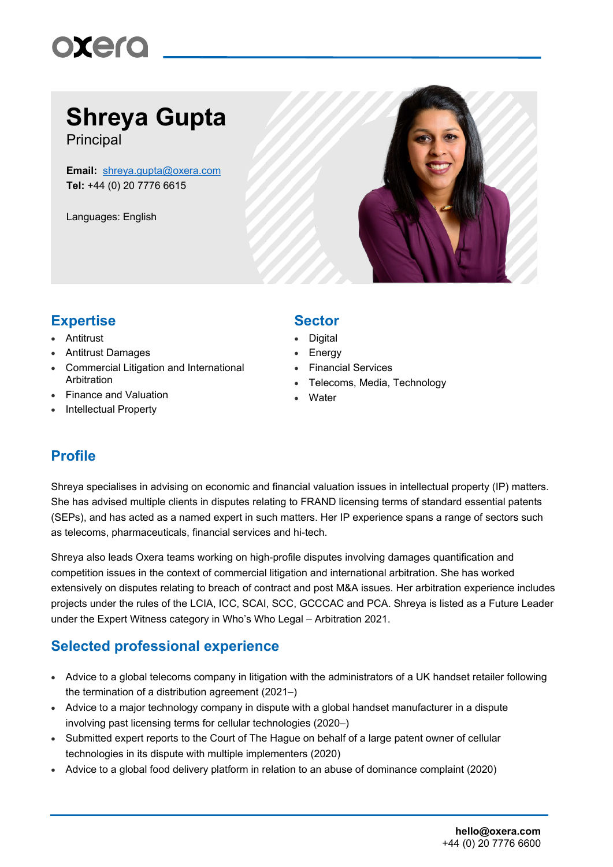

## **Shreya Gupta**

**Principal** 

**Email:** [shreya.gupta@oxera.com](mailto:shreya.gupta@oxera.com) **Tel:** +44 (0) 20 7776 6615

Languages: English



### **Expertise Sector**

- Antitrust
- Antitrust Damages
- Commercial Litigation and International Arbitration
- Finance and Valuation
- Intellectual Property

- **Digital**
- **Energy**
- Financial Services
- Telecoms, Media, Technology
- **Water**

#### **Profile**

Shreya specialises in advising on economic and financial valuation issues in intellectual property (IP) matters. She has advised multiple clients in disputes relating to FRAND licensing terms of standard essential patents (SEPs), and has acted as a named expert in such matters. Her IP experience spans a range of sectors such as telecoms, pharmaceuticals, financial services and hi-tech.

Shreya also leads Oxera teams working on high-profile disputes involving damages quantification and competition issues in the context of commercial litigation and international arbitration. She has worked extensively on disputes relating to breach of contract and post M&A issues. Her arbitration experience includes projects under the rules of the LCIA, ICC, SCAI, SCC, GCCCAC and PCA. Shreya is listed as a Future Leader under the Expert Witness category in Who's Who Legal – Arbitration 2021.

#### **Selected professional experience**

- Advice to a global telecoms company in litigation with the administrators of a UK handset retailer following the termination of a distribution agreement (2021–)
- Advice to a major technology company in dispute with a global handset manufacturer in a dispute involving past licensing terms for cellular technologies (2020–)
- Submitted expert reports to the Court of The Hague on behalf of a large patent owner of cellular technologies in its dispute with multiple implementers (2020)
- Advice to a global food delivery platform in relation to an abuse of dominance complaint (2020)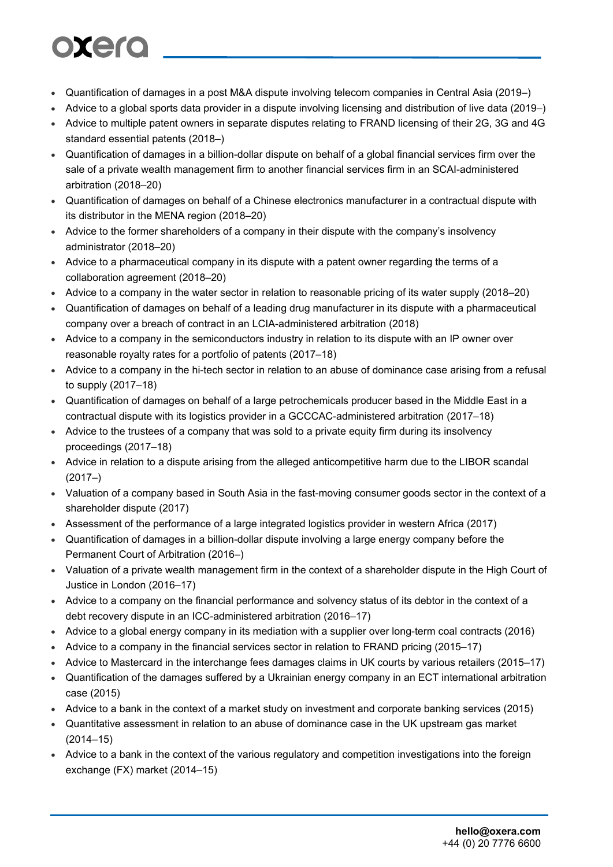# oxero

- Quantification of damages in a post M&A dispute involving telecom companies in Central Asia (2019–)
- Advice to a global sports data provider in a dispute involving licensing and distribution of live data (2019–)
- Advice to multiple patent owners in separate disputes relating to FRAND licensing of their 2G, 3G and 4G standard essential patents (2018–)
- Quantification of damages in a billion-dollar dispute on behalf of a global financial services firm over the sale of a private wealth management firm to another financial services firm in an SCAI-administered arbitration (2018–20)
- Quantification of damages on behalf of a Chinese electronics manufacturer in a contractual dispute with its distributor in the MENA region (2018–20)
- Advice to the former shareholders of a company in their dispute with the company's insolvency administrator (2018–20)
- Advice to a pharmaceutical company in its dispute with a patent owner regarding the terms of a collaboration agreement (2018–20)
- Advice to a company in the water sector in relation to reasonable pricing of its water supply (2018–20)
- Quantification of damages on behalf of a leading drug manufacturer in its dispute with a pharmaceutical company over a breach of contract in an LCIA-administered arbitration (2018)
- Advice to a company in the semiconductors industry in relation to its dispute with an IP owner over reasonable royalty rates for a portfolio of patents (2017–18)
- Advice to a company in the hi-tech sector in relation to an abuse of dominance case arising from a refusal to supply (2017–18)
- Quantification of damages on behalf of a large petrochemicals producer based in the Middle East in a contractual dispute with its logistics provider in a GCCCAC-administered arbitration (2017–18)
- Advice to the trustees of a company that was sold to a private equity firm during its insolvency proceedings (2017–18)
- Advice in relation to a dispute arising from the alleged anticompetitive harm due to the LIBOR scandal (2017–)
- Valuation of a company based in South Asia in the fast-moving consumer goods sector in the context of a shareholder dispute (2017)
- Assessment of the performance of a large integrated logistics provider in western Africa (2017)
- Quantification of damages in a billion-dollar dispute involving a large energy company before the Permanent Court of Arbitration (2016–)
- Valuation of a private wealth management firm in the context of a shareholder dispute in the High Court of Justice in London (2016–17)
- Advice to a company on the financial performance and solvency status of its debtor in the context of a debt recovery dispute in an ICC-administered arbitration (2016–17)
- Advice to a global energy company in its mediation with a supplier over long-term coal contracts (2016)
- Advice to a company in the financial services sector in relation to FRAND pricing (2015–17)
- Advice to Mastercard in the interchange fees damages claims in UK courts by various retailers (2015–17)
- Quantification of the damages suffered by a Ukrainian energy company in an ECT international arbitration case (2015)
- Advice to a bank in the context of a market study on investment and corporate banking services (2015)
- Quantitative assessment in relation to an abuse of dominance case in the UK upstream gas market (2014–15)
- Advice to a bank in the context of the various regulatory and competition investigations into the foreign exchange (FX) market (2014–15)